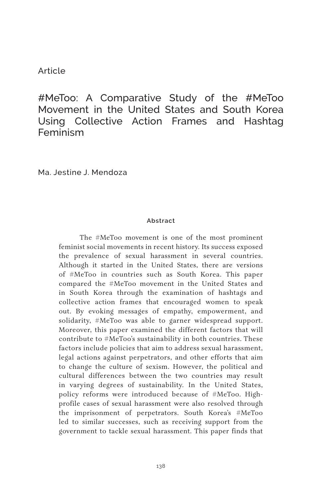#### Article

#MeToo: A Comparative Study of the #MeToo Movement in the United States and South Korea Using Collective Action Frames and Hashtag Feminism

Ma. Jestine J. Mendoza

#### **Abstract**

The #MeToo movement is one of the most prominent feminist social movements in recent history. Its success exposed the prevalence of sexual harassment in several countries. Although it started in the United States, there are versions of #MeToo in countries such as South Korea. This paper compared the #MeToo movement in the United States and in South Korea through the examination of hashtags and collective action frames that encouraged women to speak out. By evoking messages of empathy, empowerment, and solidarity, #MeToo was able to garner widespread support. Moreover, this paper examined the different factors that will contribute to #MeToo's sustainability in both countries. These factors include policies that aim to address sexual harassment, legal actions against perpetrators, and other efforts that aim to change the culture of sexism. However, the political and cultural differences between the two countries may result in varying degrees of sustainability. In the United States, policy reforms were introduced because of #MeToo. Highprofile cases of sexual harassment were also resolved through the imprisonment of perpetrators. South Korea's #MeToo led to similar successes, such as receiving support from the government to tackle sexual harassment. This paper finds that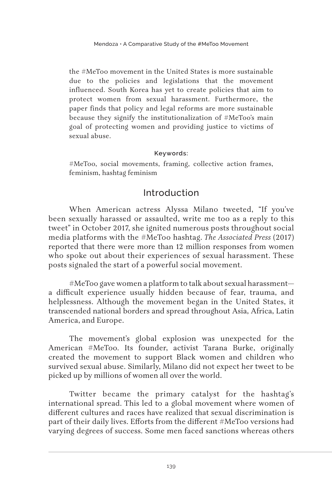the #MeToo movement in the United States is more sustainable due to the policies and legislations that the movement influenced. South Korea has yet to create policies that aim to protect women from sexual harassment. Furthermore, the paper finds that policy and legal reforms are more sustainable because they signify the institutionalization of #MeToo's main goal of protecting women and providing justice to victims of sexual abuse.

#### **Keywords:**

#MeToo, social movements, framing, collective action frames, feminism, hashtag feminism

## Introduction

When American actress Alyssa Milano tweeted, "If you've been sexually harassed or assaulted, write me too as a reply to this tweet" in October 2017, she ignited numerous posts throughout social media platforms with the #MeToo hashtag. *The Associated Press* (2017) reported that there were more than 12 million responses from women who spoke out about their experiences of sexual harassment. These posts signaled the start of a powerful social movement.

#MeToo gave women a platform to talk about sexual harassment a difficult experience usually hidden because of fear, trauma, and helplessness. Although the movement began in the United States, it transcended national borders and spread throughout Asia, Africa, Latin America, and Europe.

The movement's global explosion was unexpected for the American #MeToo. Its founder, activist Tarana Burke, originally created the movement to support Black women and children who survived sexual abuse. Similarly, Milano did not expect her tweet to be picked up by millions of women all over the world.

Twitter became the primary catalyst for the hashtag's international spread. This led to a global movement where women of different cultures and races have realized that sexual discrimination is part of their daily lives. Efforts from the different #MeToo versions had varying degrees of success. Some men faced sanctions whereas others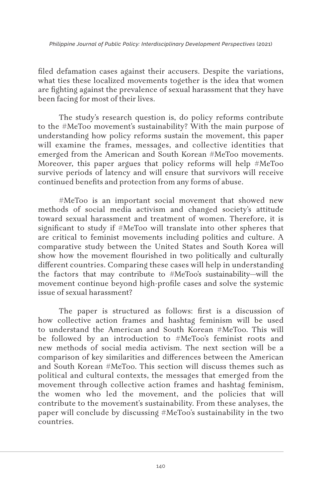filed defamation cases against their accusers. Despite the variations, what ties these localized movements together is the idea that women are fighting against the prevalence of sexual harassment that they have been facing for most of their lives.

The study's research question is, do policy reforms contribute to the #MeToo movement's sustainability? With the main purpose of understanding how policy reforms sustain the movement, this paper will examine the frames, messages, and collective identities that emerged from the American and South Korean #MeToo movements. Moreover, this paper argues that policy reforms will help #MeToo survive periods of latency and will ensure that survivors will receive continued benefits and protection from any forms of abuse.

#MeToo is an important social movement that showed new methods of social media activism and changed society's attitude toward sexual harassment and treatment of women. Therefore, it is significant to study if #MeToo will translate into other spheres that are critical to feminist movements including politics and culture. A comparative study between the United States and South Korea will show how the movement flourished in two politically and culturally different countries. Comparing these cases will help in understanding the factors that may contribute to #MeToo's sustainability—will the movement continue beyond high-profile cases and solve the systemic issue of sexual harassment?

The paper is structured as follows: first is a discussion of how collective action frames and hashtag feminism will be used to understand the American and South Korean #MeToo. This will be followed by an introduction to #MeToo's feminist roots and new methods of social media activism. The next section will be a comparison of key similarities and differences between the American and South Korean #MeToo. This section will discuss themes such as political and cultural contexts, the messages that emerged from the movement through collective action frames and hashtag feminism, the women who led the movement, and the policies that will contribute to the movement's sustainability. From these analyses, the paper will conclude by discussing #MeToo's sustainability in the two countries.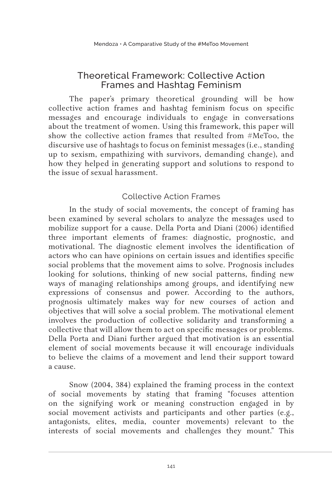## Theoretical Framework: Collective Action Frames and Hashtag Feminism

The paper's primary theoretical grounding will be how collective action frames and hashtag feminism focus on specific messages and encourage individuals to engage in conversations about the treatment of women. Using this framework, this paper will show the collective action frames that resulted from #MeToo, the discursive use of hashtags to focus on feminist messages (i.e., standing up to sexism, empathizing with survivors, demanding change), and how they helped in generating support and solutions to respond to the issue of sexual harassment.

## Collective Action Frames

In the study of social movements, the concept of framing has been examined by several scholars to analyze the messages used to mobilize support for a cause. Della Porta and Diani (2006) identified three important elements of frames: diagnostic, prognostic, and motivational. The diagnostic element involves the identification of actors who can have opinions on certain issues and identifies specific social problems that the movement aims to solve. Prognosis includes looking for solutions, thinking of new social patterns, finding new ways of managing relationships among groups, and identifying new expressions of consensus and power. According to the authors, prognosis ultimately makes way for new courses of action and objectives that will solve a social problem. The motivational element involves the production of collective solidarity and transforming a collective that will allow them to act on specific messages or problems. Della Porta and Diani further argued that motivation is an essential element of social movements because it will encourage individuals to believe the claims of a movement and lend their support toward a cause.

Snow (2004, 384) explained the framing process in the context of social movements by stating that framing "focuses attention on the signifying work or meaning construction engaged in by social movement activists and participants and other parties (e.g., antagonists, elites, media, counter movements) relevant to the interests of social movements and challenges they mount." This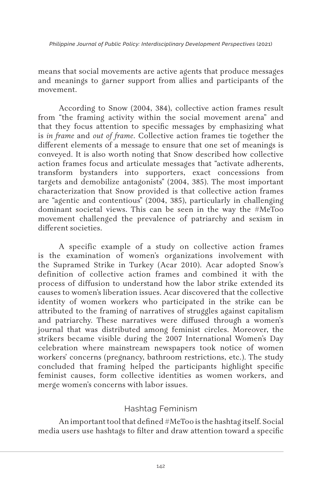means that social movements are active agents that produce messages and meanings to garner support from allies and participants of the movement.

According to Snow (2004, 384), collective action frames result from "the framing activity within the social movement arena" and that they focus attention to specific messages by emphasizing what is *in frame* and *out of frame*. Collective action frames tie together the different elements of a message to ensure that one set of meanings is conveyed. It is also worth noting that Snow described how collective action frames focus and articulate messages that "activate adherents, transform bystanders into supporters, exact concessions from targets and demobilize antagonists" (2004, 385). The most important characterization that Snow provided is that collective action frames are "agentic and contentious" (2004, 385), particularly in challenging dominant societal views. This can be seen in the way the #MeToo movement challenged the prevalence of patriarchy and sexism in different societies

A specific example of a study on collective action frames is the examination of women's organizations involvement with the Supramed Strike in Turkey (Acar 2010). Acar adopted Snow's definition of collective action frames and combined it with the process of diffusion to understand how the labor strike extended its causes to women's liberation issues. Acar discovered that the collective identity of women workers who participated in the strike can be attributed to the framing of narratives of struggles against capitalism and patriarchy. These narratives were diffused through a women's journal that was distributed among feminist circles. Moreover, the strikers became visible during the 2007 International Women's Day celebration where mainstream newspapers took notice of women workers' concerns (pregnancy, bathroom restrictions, etc.). The study concluded that framing helped the participants highlight specific feminist causes, form collective identities as women workers, and merge women's concerns with labor issues.

## Hashtag Feminism

An important tool that defined #MeToo is the hashtag itself. Social media users use hashtags to filter and draw attention toward a specific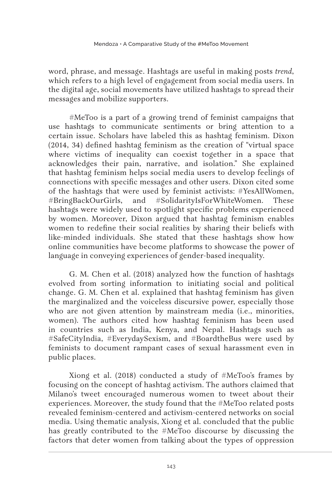word, phrase, and message. Hashtags are useful in making posts *trend*, which refers to a high level of engagement from social media users. In the digital age, social movements have utilized hashtags to spread their messages and mobilize supporters.

#MeToo is a part of a growing trend of feminist campaigns that use hashtags to communicate sentiments or bring attention to a certain issue. Scholars have labeled this as hashtag feminism. Dixon (2014, 34) defined hashtag feminism as the creation of "virtual space where victims of inequality can coexist together in a space that acknowledges their pain, narrative, and isolation." She explained that hashtag feminism helps social media users to develop feelings of connections with specific messages and other users. Dixon cited some of the hashtags that were used by feminist activists: #YesAllWomen, #BringBackOurGirls, and #SolidarityIsForWhiteWomen. These hashtags were widely used to spotlight specific problems experienced by women. Moreover, Dixon argued that hashtag feminism enables women to redefine their social realities by sharing their beliefs with like-minded individuals. She stated that these hashtags show how online communities have become platforms to showcase the power of language in conveying experiences of gender-based inequality.

G. M. Chen et al. (2018) analyzed how the function of hashtags evolved from sorting information to initiating social and political change. G. M. Chen et al. explained that hashtag feminism has given the marginalized and the voiceless discursive power, especially those who are not given attention by mainstream media (i.e., minorities, women). The authors cited how hashtag feminism has been used in countries such as India, Kenya, and Nepal. Hashtags such as #SafeCityIndia, #EverydaySexism, and #BoardtheBus were used by feminists to document rampant cases of sexual harassment even in public places.

Xiong et al. (2018) conducted a study of #MeToo's frames by focusing on the concept of hashtag activism. The authors claimed that Milano's tweet encouraged numerous women to tweet about their experiences. Moreover, the study found that the #MeToo related posts revealed feminism-centered and activism-centered networks on social media. Using thematic analysis, Xiong et al. concluded that the public has greatly contributed to the #MeToo discourse by discussing the factors that deter women from talking about the types of oppression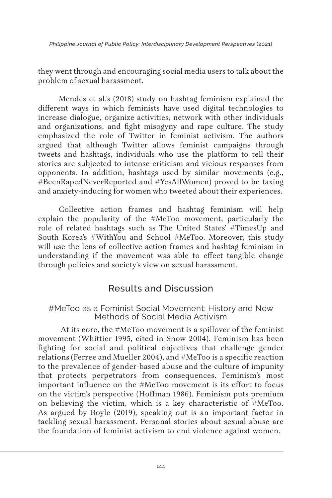they went through and encouraging social media users to talk about the problem of sexual harassment.

Mendes et al.'s (2018) study on hashtag feminism explained the different ways in which feminists have used digital technologies to increase dialogue, organize activities, network with other individuals and organizations, and fight misogyny and rape culture. The study emphasized the role of Twitter in feminist activism. The authors argued that although Twitter allows feminist campaigns through tweets and hashtags, individuals who use the platform to tell their stories are subjected to intense criticism and vicious responses from opponents. In addition, hashtags used by similar movements (e.g., #BeenRapedNeverReported and #YesAllWomen) proved to be taxing and anxiety-inducing for women who tweeted about their experiences.

Collective action frames and hashtag feminism will help explain the popularity of the #MeToo movement, particularly the role of related hashtags such as The United States' #TimesUp and South Korea's #WithYou and School #MeToo. Moreover, this study will use the lens of collective action frames and hashtag feminism in understanding if the movement was able to effect tangible change through policies and society's view on sexual harassment.

# Results and Discussion

### #MeToo as a Feminist Social Movement: History and New Methods of Social Media Activism

At its core, the #MeToo movement is a spillover of the feminist movement (Whittier 1995, cited in Snow 2004). Feminism has been fighting for social and political objectives that challenge gender relations (Ferree and Mueller 2004), and #MeToo is a specific reaction to the prevalence of gender-based abuse and the culture of impunity that protects perpetrators from consequences. Feminism's most important influence on the #MeToo movement is its effort to focus on the victim's perspective (Hoffman 1986). Feminism puts premium on believing the victim, which is a key characteristic of #MeToo. As argued by Boyle (2019), speaking out is an important factor in tackling sexual harassment. Personal stories about sexual abuse are the foundation of feminist activism to end violence against women.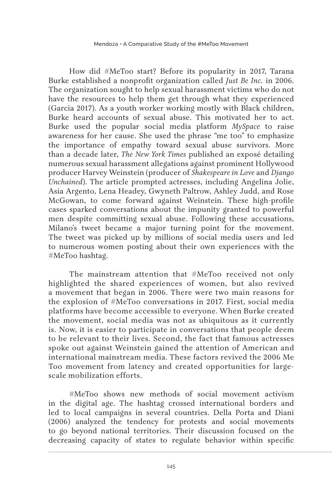How did #MeToo start? Before its popularity in 2017, Tarana Burke established a nonprofit organization called *Just Be Inc.* in 2006. The organization sought to help sexual harassment victims who do not have the resources to help them get through what they experienced (Garcia 2017). As a youth worker working mostly with Black children, Burke heard accounts of sexual abuse. This motivated her to act. Burke used the popular social media platform *MySpace* to raise awareness for her cause. She used the phrase "me too" to emphasize the importance of empathy toward sexual abuse survivors. More than a decade later, *The New York Times* published an exposé detailing numerous sexual harassment allegations against prominent Hollywood producer Harvey Weinstein (producer of *Shakespeare in Love* and *Django Unchained*). The article prompted actresses, including Angelina Jolie, Asia Argento, Lena Headey, Gwyneth Paltrow, Ashley Judd, and Rose McGowan, to come forward against Weinstein. These high-profile cases sparked conversations about the impunity granted to powerful men despite committing sexual abuse. Following these accusations, Milano's tweet became a major turning point for the movement. The tweet was picked up by millions of social media users and led to numerous women posting about their own experiences with the #MeToo hashtag.

The mainstream attention that #MeToo received not only highlighted the shared experiences of women, but also revived a movement that began in 2006. There were two main reasons for the explosion of #MeToo conversations in 2017. First, social media platforms have become accessible to everyone. When Burke created the movement, social media was not as ubiquitous as it currently is. Now, it is easier to participate in conversations that people deem to be relevant to their lives. Second, the fact that famous actresses spoke out against Weinstein gained the attention of American and international mainstream media. These factors revived the 2006 Me Too movement from latency and created opportunities for largescale mobilization efforts.

#MeToo shows new methods of social movement activism in the digital age. The hashtag crossed international borders and led to local campaigns in several countries. Della Porta and Diani (2006) analyzed the tendency for protests and social movements to go beyond national territories. Their discussion focused on the decreasing capacity of states to regulate behavior within specific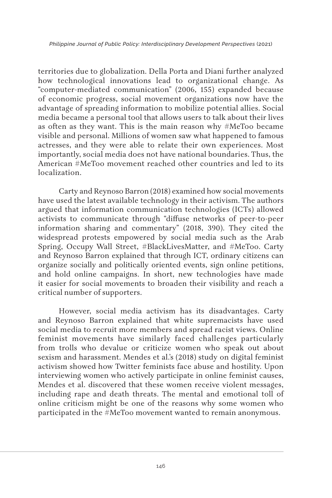territories due to globalization. Della Porta and Diani further analyzed how technological innovations lead to organizational change. As "computer-mediated communication" (2006, 155) expanded because of economic progress, social movement organizations now have the advantage of spreading information to mobilize potential allies. Social media became a personal tool that allows users to talk about their lives as often as they want. This is the main reason why #MeToo became visible and personal. Millions of women saw what happened to famous actresses, and they were able to relate their own experiences. Most importantly, social media does not have national boundaries. Thus, the American #MeToo movement reached other countries and led to its localization.

Carty and Reynoso Barron (2018) examined how social movements have used the latest available technology in their activism. The authors argued that information communication technologies (ICTs) allowed activists to communicate through "diffuse networks of peer-to-peer information sharing and commentary" (2018, 390). They cited the widespread protests empowered by social media such as the Arab Spring, Occupy Wall Street, #BlackLivesMatter, and #MeToo. Carty and Reynoso Barron explained that through ICT, ordinary citizens can organize socially and politically oriented events, sign online petitions, and hold online campaigns. In short, new technologies have made it easier for social movements to broaden their visibility and reach a critical number of supporters.

However, social media activism has its disadvantages. Carty and Reynoso Barron explained that white supremacists have used social media to recruit more members and spread racist views. Online feminist movements have similarly faced challenges particularly from trolls who devalue or criticize women who speak out about sexism and harassment. Mendes et al.'s (2018) study on digital feminist activism showed how Twitter feminists face abuse and hostility. Upon interviewing women who actively participate in online feminist causes, Mendes et al. discovered that these women receive violent messages, including rape and death threats. The mental and emotional toll of online criticism might be one of the reasons why some women who participated in the #MeToo movement wanted to remain anonymous.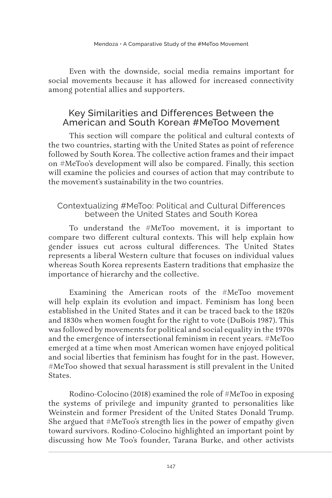Even with the downside, social media remains important for social movements because it has allowed for increased connectivity among potential allies and supporters.

## Key Similarities and Differences Between the American and South Korean #MeToo Movement

This section will compare the political and cultural contexts of the two countries, starting with the United States as point of reference followed by South Korea. The collective action frames and their impact on #MeToo's development will also be compared. Finally, this section will examine the policies and courses of action that may contribute to the movement's sustainability in the two countries.

### Contextualizing #MeToo: Political and Cultural Differences between the United States and South Korea

To understand the #MeToo movement, it is important to compare two different cultural contexts. This will help explain how gender issues cut across cultural differences. The United States represents a liberal Western culture that focuses on individual values whereas South Korea represents Eastern traditions that emphasize the importance of hierarchy and the collective.

Examining the American roots of the #MeToo movement will help explain its evolution and impact. Feminism has long been established in the United States and it can be traced back to the 1820s and 1830s when women fought for the right to vote (DuBois 1987). This was followed by movements for political and social equality in the 1970s and the emergence of intersectional feminism in recent years. #MeToo emerged at a time when most American women have enjoyed political and social liberties that feminism has fought for in the past. However, #MeToo showed that sexual harassment is still prevalent in the United States.

Rodino-Colocino (2018) examined the role of #MeToo in exposing the systems of privilege and impunity granted to personalities like Weinstein and former President of the United States Donald Trump. She argued that #MeToo's strength lies in the power of empathy given toward survivors. Rodino-Colocino highlighted an important point by discussing how Me Too's founder, Tarana Burke, and other activists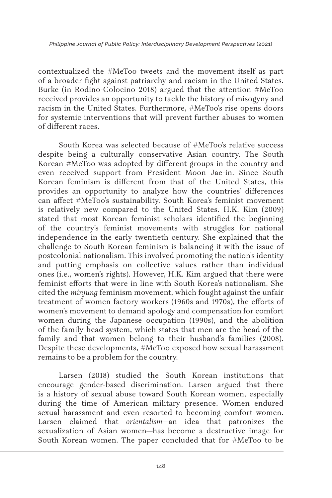contextualized the #MeToo tweets and the movement itself as part of a broader fight against patriarchy and racism in the United States. Burke (in Rodino-Colocino 2018) argued that the attention #MeToo received provides an opportunity to tackle the history of misogyny and racism in the United States. Furthermore, #MeToo's rise opens doors for systemic interventions that will prevent further abuses to women of different races.

South Korea was selected because of #MeToo's relative success despite being a culturally conservative Asian country. The South Korean #MeToo was adopted by different groups in the country and even received support from President Moon Jae-in. Since South Korean feminism is different from that of the United States, this provides an opportunity to analyze how the countries' differences can affect #MeToo's sustainability. South Korea's feminist movement is relatively new compared to the United States. H.K. Kim (2009) stated that most Korean feminist scholars identified the beginning of the country's feminist movements with struggles for national independence in the early twentieth century. She explained that the challenge to South Korean feminism is balancing it with the issue of postcolonial nationalism. This involved promoting the nation's identity and putting emphasis on collective values rather than individual ones (i.e., women's rights). However, H.K. Kim argued that there were feminist efforts that were in line with South Korea's nationalism. She cited the *minjung* feminism movement, which fought against the unfair treatment of women factory workers (1960s and 1970s), the efforts of women's movement to demand apology and compensation for comfort women during the Japanese occupation (1990s), and the abolition of the family-head system, which states that men are the head of the family and that women belong to their husband's families (2008). Despite these developments, #MeToo exposed how sexual harassment remains to be a problem for the country.

Larsen (2018) studied the South Korean institutions that encourage gender-based discrimination. Larsen argued that there is a history of sexual abuse toward South Korean women, especially during the time of American military presence. Women endured sexual harassment and even resorted to becoming comfort women. Larsen claimed that *orientalism—*an idea that patronizes the sexualization of Asian women—has become a destructive image for South Korean women. The paper concluded that for #MeToo to be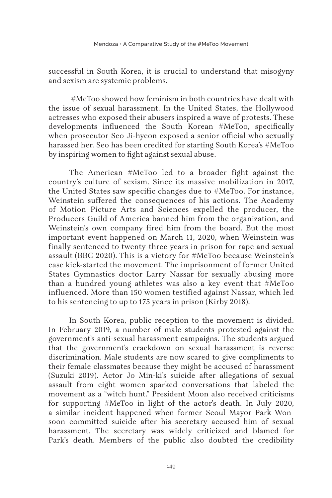successful in South Korea, it is crucial to understand that misogyny and sexism are systemic problems.

 #MeToo showed how feminism in both countries have dealt with the issue of sexual harassment. In the United States, the Hollywood actresses who exposed their abusers inspired a wave of protests. These developments influenced the South Korean #MeToo, specifically when prosecutor Seo Ji-hyeon exposed a senior official who sexually harassed her. Seo has been credited for starting South Korea's #MeToo by inspiring women to fight against sexual abuse.

The American #MeToo led to a broader fight against the country's culture of sexism. Since its massive mobilization in 2017, the United States saw specific changes due to #MeToo. For instance, Weinstein suffered the consequences of his actions. The Academy of Motion Picture Arts and Sciences expelled the producer, the Producers Guild of America banned him from the organization, and Weinstein's own company fired him from the board. But the most important event happened on March 11, 2020, when Weinstein was finally sentenced to twenty-three years in prison for rape and sexual assault (BBC 2020). This is a victory for #MeToo because Weinstein's case kick-started the movement. The imprisonment of former United States Gymnastics doctor Larry Nassar for sexually abusing more than a hundred young athletes was also a key event that #MeToo influenced. More than 150 women testified against Nassar, which led to his sentencing to up to 175 years in prison (Kirby 2018).

In South Korea, public reception to the movement is divided. In February 2019, a number of male students protested against the government's anti-sexual harassment campaigns. The students argued that the government's crackdown on sexual harassment is reverse discrimination. Male students are now scared to give compliments to their female classmates because they might be accused of harassment (Suzuki 2019). Actor Jo Min-ki's suicide after allegations of sexual assault from eight women sparked conversations that labeled the movement as a "witch hunt." President Moon also received criticisms for supporting #MeToo in light of the actor's death. In July 2020, a similar incident happened when former Seoul Mayor Park Wonsoon committed suicide after his secretary accused him of sexual harassment. The secretary was widely criticized and blamed for Park's death. Members of the public also doubted the credibility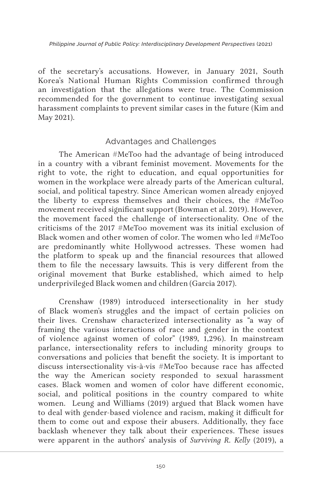of the secretary's accusations. However, in January 2021, South Korea's National Human Rights Commission confirmed through an investigation that the allegations were true. The Commission recommended for the government to continue investigating sexual harassment complaints to prevent similar cases in the future (Kim and May 2021).

## Advantages and Challenges

The American #MeToo had the advantage of being introduced in a country with a vibrant feminist movement. Movements for the right to vote, the right to education, and equal opportunities for women in the workplace were already parts of the American cultural, social, and political tapestry. Since American women already enjoyed the liberty to express themselves and their choices, the #MeToo movement received significant support (Bowman et al. 2019). However, the movement faced the challenge of intersectionality. One of the criticisms of the 2017 #MeToo movement was its initial exclusion of Black women and other women of color. The women who led #MeToo are predominantly white Hollywood actresses. These women had the platform to speak up and the financial resources that allowed them to file the necessary lawsuits. This is very different from the original movement that Burke established, which aimed to help underprivileged Black women and children (Garcia 2017).

Crenshaw (1989) introduced intersectionality in her study of Black women's struggles and the impact of certain policies on their lives. Crenshaw characterized intersectionality as "a way of framing the various interactions of race and gender in the context of violence against women of color" (1989, 1,296). In mainstream parlance, intersectionality refers to including minority groups to conversations and policies that benefit the society. It is important to discuss intersectionality vis-à-vis #MeToo because race has affected the way the American society responded to sexual harassment cases. Black women and women of color have different economic, social, and political positions in the country compared to white women. Leung and Williams (2019) argued that Black women have to deal with gender-based violence and racism, making it difficult for them to come out and expose their abusers. Additionally, they face backlash whenever they talk about their experiences. These issues were apparent in the authors' analysis of *Surviving R. Kelly* (2019), a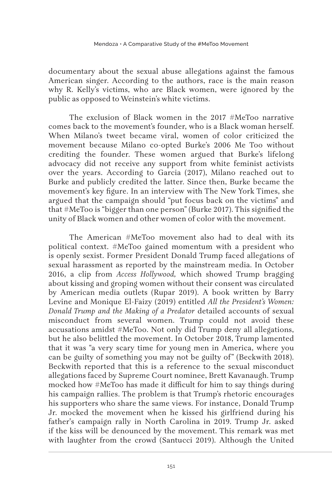documentary about the sexual abuse allegations against the famous American singer. According to the authors, race is the main reason why R. Kelly's victims, who are Black women, were ignored by the public as opposed to Weinstein's white victims.

The exclusion of Black women in the 2017 #MeToo narrative comes back to the movement's founder, who is a Black woman herself. When Milano's tweet became viral, women of color criticized the movement because Milano co-opted Burke's 2006 Me Too without crediting the founder. These women argued that Burke's lifelong advocacy did not receive any support from white feminist activists over the years. According to Garcia (2017), Milano reached out to Burke and publicly credited the latter. Since then, Burke became the movement's key figure. In an interview with The New York Times, she argued that the campaign should "put focus back on the victims" and that #MeToo is "bigger than one person" (Burke 2017). This signified the unity of Black women and other women of color with the movement.

The American #MeToo movement also had to deal with its political context. #MeToo gained momentum with a president who is openly sexist. Former President Donald Trump faced allegations of sexual harassment as reported by the mainstream media. In October 2016, a clip from *Access Hollywood,* which showed Trump bragging about kissing and groping women without their consent was circulated by American media outlets (Rupar 2019). A book written by Barry Levine and Monique El-Faizy (2019) entitled *All the President's Women: Donald Trump and the Making of a Predator* detailed accounts of sexual misconduct from several women. Trump could not avoid these accusations amidst #MeToo. Not only did Trump deny all allegations, but he also belittled the movement. In October 2018, Trump lamented that it was "a very scary time for young men in America, where you can be guilty of something you may not be guilty of" (Beckwith 2018). Beckwith reported that this is a reference to the sexual misconduct allegations faced by Supreme Court nominee, Brett Kavanaugh. Trump mocked how #MeToo has made it difficult for him to say things during his campaign rallies. The problem is that Trump's rhetoric encourages his supporters who share the same views. For instance, Donald Trump Jr. mocked the movement when he kissed his girlfriend during his father's campaign rally in North Carolina in 2019. Trump Jr. asked if the kiss will be denounced by the movement. This remark was met with laughter from the crowd (Santucci 2019). Although the United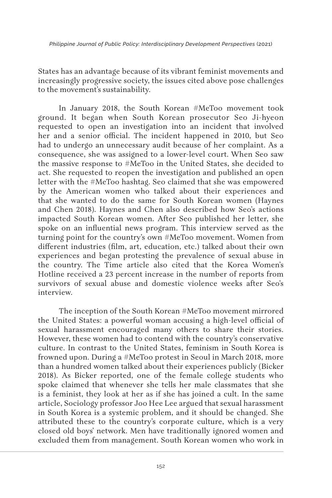States has an advantage because of its vibrant feminist movements and increasingly progressive society, the issues cited above pose challenges to the movement's sustainability.

In January 2018, the South Korean #MeToo movement took ground. It began when South Korean prosecutor Seo Ji-hyeon requested to open an investigation into an incident that involved her and a senior official. The incident happened in 2010, but Seo had to undergo an unnecessary audit because of her complaint. As a consequence, she was assigned to a lower-level court. When Seo saw the massive response to #MeToo in the United States, she decided to act. She requested to reopen the investigation and published an open letter with the #MeToo hashtag. Seo claimed that she was empowered by the American women who talked about their experiences and that she wanted to do the same for South Korean women (Haynes and Chen 2018). Haynes and Chen also described how Seo's actions impacted South Korean women. After Seo published her letter, she spoke on an influential news program. This interview served as the turning point for the country's own #MeToo movement. Women from different industries (film, art, education, etc.) talked about their own experiences and began protesting the prevalence of sexual abuse in the country. The Time article also cited that the Korea Women's Hotline received a 23 percent increase in the number of reports from survivors of sexual abuse and domestic violence weeks after Seo's interview.

The inception of the South Korean #MeToo movement mirrored the United States: a powerful woman accusing a high-level official of sexual harassment encouraged many others to share their stories. However, these women had to contend with the country's conservative culture. In contrast to the United States, feminism in South Korea is frowned upon. During a #MeToo protest in Seoul in March 2018, more than a hundred women talked about their experiences publicly (Bicker 2018). As Bicker reported, one of the female college students who spoke claimed that whenever she tells her male classmates that she is a feminist, they look at her as if she has joined a cult. In the same article, Sociology professor Joo Hee Lee argued that sexual harassment in South Korea is a systemic problem, and it should be changed. She attributed these to the country's corporate culture, which is a very closed old boys' network. Men have traditionally ignored women and excluded them from management. South Korean women who work in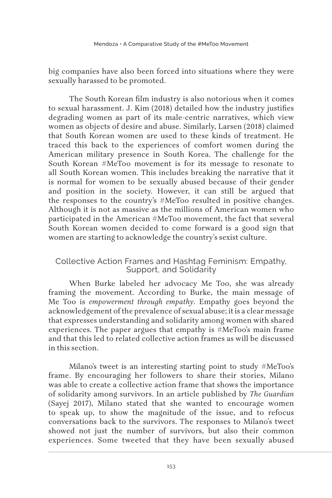big companies have also been forced into situations where they were sexually harassed to be promoted.

The South Korean film industry is also notorious when it comes to sexual harassment. J. Kim (2018) detailed how the industry justifies degrading women as part of its male-centric narratives, which view women as objects of desire and abuse. Similarly, Larsen (2018) claimed that South Korean women are used to these kinds of treatment. He traced this back to the experiences of comfort women during the American military presence in South Korea. The challenge for the South Korean #MeToo movement is for its message to resonate to all South Korean women. This includes breaking the narrative that it is normal for women to be sexually abused because of their gender and position in the society. However, it can still be argued that the responses to the country's #MeToo resulted in positive changes. Although it is not as massive as the millions of American women who participated in the American #MeToo movement, the fact that several South Korean women decided to come forward is a good sign that women are starting to acknowledge the country's sexist culture.

## Collective Action Frames and Hashtag Feminism: Empathy, Support, and Solidarity

When Burke labeled her advocacy Me Too, she was already framing the movement. According to Burke, the main message of Me Too is *empowerment through empathy.* Empathy goes beyond the acknowledgement of the prevalence of sexual abuse; it is a clear message that expresses understanding and solidarity among women with shared experiences. The paper argues that empathy is #MeToo's main frame and that this led to related collective action frames as will be discussed in this section.

Milano's tweet is an interesting starting point to study #MeToo's frame. By encouraging her followers to share their stories, Milano was able to create a collective action frame that shows the importance of solidarity among survivors. In an article published by *The Guardian*  (Sayej 2017), Milano stated that she wanted to encourage women to speak up, to show the magnitude of the issue, and to refocus conversations back to the survivors. The responses to Milano's tweet showed not just the number of survivors, but also their common experiences. Some tweeted that they have been sexually abused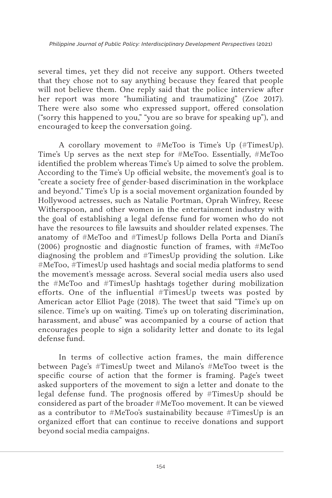several times, yet they did not receive any support. Others tweeted that they chose not to say anything because they feared that people will not believe them. One reply said that the police interview after her report was more "humiliating and traumatizing" (Zoe 2017). There were also some who expressed support, offered consolation ("sorry this happened to you," "you are so brave for speaking up"), and encouraged to keep the conversation going.

A corollary movement to #MeToo is Time's Up (#TimesUp). Time's Up serves as the next step for #MeToo. Essentially, #MeToo identified the problem whereas Time's Up aimed to solve the problem. According to the Time's Up official website, the movement's goal is to "create a society free of gender-based discrimination in the workplace and beyond." Time's Up is a social movement organization founded by Hollywood actresses, such as Natalie Portman, Oprah Winfrey, Reese Witherspoon, and other women in the entertainment industry with the goal of establishing a legal defense fund for women who do not have the resources to file lawsuits and shoulder related expenses. The anatomy of #MeToo and #TimesUp follows Della Porta and Diani's (2006) prognostic and diagnostic function of frames, with #MeToo diagnosing the problem and #TimesUp providing the solution. Like #MeToo, #TimesUp used hashtags and social media platforms to send the movement's message across. Several social media users also used the #MeToo and #TimesUp hashtags together during mobilization efforts. One of the influential #TimesUp tweets was posted by American actor Elliot Page (2018). The tweet that said "Time's up on silence. Time's up on waiting. Time's up on tolerating discrimination, harassment, and abuse" was accompanied by a course of action that encourages people to sign a solidarity letter and donate to its legal defense fund.

In terms of collective action frames, the main difference between Page's #TimesUp tweet and Milano's #MeToo tweet is the specific course of action that the former is framing. Page's tweet asked supporters of the movement to sign a letter and donate to the legal defense fund. The prognosis offered by #TimesUp should be considered as part of the broader #MeToo movement. It can be viewed as a contributor to #MeToo's sustainability because #TimesUp is an organized effort that can continue to receive donations and support beyond social media campaigns.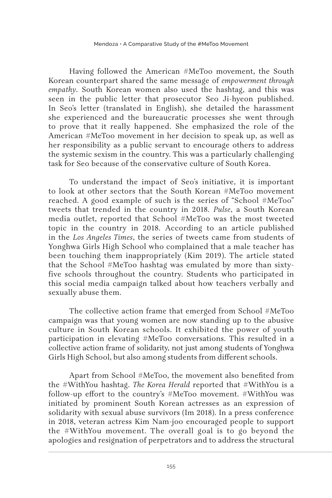Having followed the American #MeToo movement, the South Korean counterpart shared the same message of *empowerment through empathy.* South Korean women also used the hashtag, and this was seen in the public letter that prosecutor Seo Ji-hyeon published. In Seo's letter (translated in English), she detailed the harassment she experienced and the bureaucratic processes she went through to prove that it really happened. She emphasized the role of the American #MeToo movement in her decision to speak up, as well as her responsibility as a public servant to encourage others to address the systemic sexism in the country. This was a particularly challenging task for Seo because of the conservative culture of South Korea.

To understand the impact of Seo's initiative, it is important to look at other sectors that the South Korean #MeToo movement reached. A good example of such is the series of "School #MeToo" tweets that trended in the country in 2018. *Pulse*, a South Korean media outlet, reported that School #MeToo was the most tweeted topic in the country in 2018. According to an article published in the *Los Angeles Times*, the series of tweets came from students of Yonghwa Girls High School who complained that a male teacher has been touching them inappropriately (Kim 2019). The article stated that the School #MeToo hashtag was emulated by more than sixtyfive schools throughout the country. Students who participated in this social media campaign talked about how teachers verbally and sexually abuse them.

The collective action frame that emerged from School #MeToo campaign was that young women are now standing up to the abusive culture in South Korean schools. It exhibited the power of youth participation in elevating #MeToo conversations. This resulted in a collective action frame of solidarity, not just among students of Yonghwa Girls High School, but also among students from different schools.

Apart from School #MeToo, the movement also benefited from the #WithYou hashtag. *The Korea Herald* reported that #WithYou is a follow-up effort to the country's #MeToo movement. #WithYou was initiated by prominent South Korean actresses as an expression of solidarity with sexual abuse survivors (Im 2018). In a press conference in 2018, veteran actress Kim Nam-joo encouraged people to support the #WithYou movement. The overall goal is to go beyond the apologies and resignation of perpetrators and to address the structural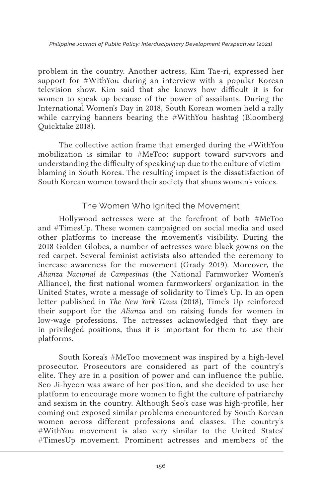problem in the country. Another actress, Kim Tae-ri, expressed her support for #WithYou during an interview with a popular Korean television show. Kim said that she knows how difficult it is for women to speak up because of the power of assailants. During the International Women's Day in 2018, South Korean women held a rally while carrying banners bearing the #WithYou hashtag (Bloomberg Quicktake 2018).

The collective action frame that emerged during the #WithYou mobilization is similar to #MeToo: support toward survivors and understanding the difficulty of speaking up due to the culture of victimblaming in South Korea. The resulting impact is the dissatisfaction of South Korean women toward their society that shuns women's voices.

### The Women Who Ignited the Movement

Hollywood actresses were at the forefront of both #MeToo and #TimesUp. These women campaigned on social media and used other platforms to increase the movement's visibility. During the 2018 Golden Globes, a number of actresses wore black gowns on the red carpet. Several feminist activists also attended the ceremony to increase awareness for the movement (Grady 2019). Moreover, the *Alianza Nacional de Campesinas* (the National Farmworker Women's Alliance), the first national women farmworkers' organization in the United States, wrote a message of solidarity to Time's Up. In an open letter published in *The New York Times* (2018), Time's Up reinforced their support for the *Alianza* and on raising funds for women in low-wage professions. The actresses acknowledged that they are in privileged positions, thus it is important for them to use their platforms.

South Korea's #MeToo movement was inspired by a high-level prosecutor. Prosecutors are considered as part of the country's elite. They are in a position of power and can influence the public. Seo Ji-hyeon was aware of her position, and she decided to use her platform to encourage more women to fight the culture of patriarchy and sexism in the country. Although Seo's case was high-profile, her coming out exposed similar problems encountered by South Korean women across different professions and classes. The country's #WithYou movement is also very similar to the United States' #TimesUp movement. Prominent actresses and members of the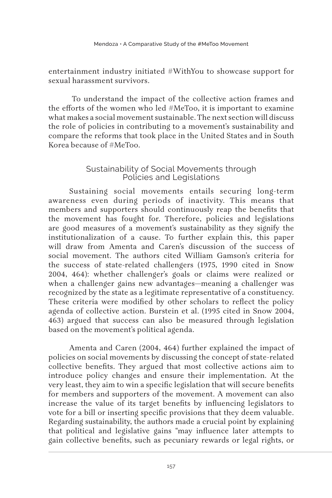entertainment industry initiated #WithYou to showcase support for sexual harassment survivors.

 To understand the impact of the collective action frames and the efforts of the women who led #MeToo, it is important to examine what makes a social movement sustainable. The next section will discuss the role of policies in contributing to a movement's sustainability and compare the reforms that took place in the United States and in South Korea because of #MeToo.

### Sustainability of Social Movements through Policies and Legislations

Sustaining social movements entails securing long-term awareness even during periods of inactivity. This means that members and supporters should continuously reap the benefits that the movement has fought for. Therefore, policies and legislations are good measures of a movement's sustainability as they signify the institutionalization of a cause. To further explain this, this paper will draw from Amenta and Caren's discussion of the success of social movement. The authors cited William Gamson's criteria for the success of state-related challengers (1975, 1990 cited in Snow 2004, 464): whether challenger's goals or claims were realized or when a challenger gains new advantages—meaning a challenger was recognized by the state as a legitimate representative of a constituency. These criteria were modified by other scholars to reflect the policy agenda of collective action. Burstein et al. (1995 cited in Snow 2004, 463) argued that success can also be measured through legislation based on the movement's political agenda.

Amenta and Caren (2004, 464) further explained the impact of policies on social movements by discussing the concept of state-related collective benefits. They argued that most collective actions aim to introduce policy changes and ensure their implementation. At the very least, they aim to win a specific legislation that will secure benefits for members and supporters of the movement. A movement can also increase the value of its target benefits by influencing legislators to vote for a bill or inserting specific provisions that they deem valuable. Regarding sustainability, the authors made a crucial point by explaining that political and legislative gains "may influence later attempts to gain collective benefits, such as pecuniary rewards or legal rights, or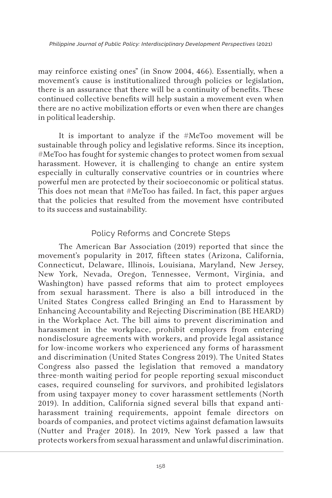may reinforce existing ones" (in Snow 2004, 466). Essentially, when a movement's cause is institutionalized through policies or legislation, there is an assurance that there will be a continuity of benefits. These continued collective benefits will help sustain a movement even when there are no active mobilization efforts or even when there are changes in political leadership.

It is important to analyze if the #MeToo movement will be sustainable through policy and legislative reforms. Since its inception, #MeToo has fought for systemic changes to protect women from sexual harassment. However, it is challenging to change an entire system especially in culturally conservative countries or in countries where powerful men are protected by their socioeconomic or political status. This does not mean that #MeToo has failed. In fact, this paper argues that the policies that resulted from the movement hsve contributed to its success and sustainability.

## Policy Reforms and Concrete Steps

The American Bar Association (2019) reported that since the movement's popularity in 2017, fifteen states (Arizona, California, Connecticut, Delaware, Illinois, Louisiana, Maryland, New Jersey, New York, Nevada, Oregon, Tennessee, Vermont, Virginia, and Washington) have passed reforms that aim to protect employees from sexual harassment. There is also a bill introduced in the United States Congress called Bringing an End to Harassment by Enhancing Accountability and Rejecting Discrimination (BE HEARD) in the Workplace Act. The bill aims to prevent discrimination and harassment in the workplace, prohibit employers from entering nondisclosure agreements with workers, and provide legal assistance for low-income workers who experienced any forms of harassment and discrimination (United States Congress 2019). The United States Congress also passed the legislation that removed a mandatory three-month waiting period for people reporting sexual misconduct cases, required counseling for survivors, and prohibited legislators from using taxpayer money to cover harassment settlements (North 2019). In addition, California signed several bills that expand antiharassment training requirements, appoint female directors on boards of companies, and protect victims against defamation lawsuits (Nutter and Prager 2018). In 2019, New York passed a law that protects workers from sexual harassment and unlawful discrimination.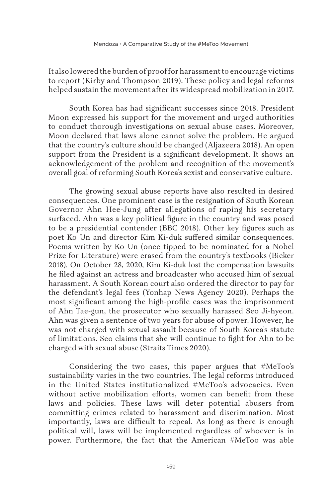It also lowered the burden of proof for harassment to encourage victims to report (Kirby and Thompson 2019). These policy and legal reforms helped sustain the movement after its widespread mobilization in 2017.

South Korea has had significant successes since 2018. President Moon expressed his support for the movement and urged authorities to conduct thorough investigations on sexual abuse cases. Moreover, Moon declared that laws alone cannot solve the problem. He argued that the country's culture should be changed (Aljazeera 2018). An open support from the President is a significant development. It shows an acknowledgement of the problem and recognition of the movement's overall goal of reforming South Korea's sexist and conservative culture.

The growing sexual abuse reports have also resulted in desired consequences. One prominent case is the resignation of South Korean Governor Ahn Hee-Jung after allegations of raping his secretary surfaced. Ahn was a key political figure in the country and was posed to be a presidential contender (BBC 2018). Other key figures such as poet Ko Un and director Kim Ki-duk suffered similar consequences. Poems written by Ko Un (once tipped to be nominated for a Nobel Prize for Literature) were erased from the country's textbooks (Bicker 2018). On October 28, 2020, Kim Ki-duk lost the compensation lawsuits he filed against an actress and broadcaster who accused him of sexual harassment. A South Korean court also ordered the director to pay for the defendant's legal fees (Yonhap News Agency 2020). Perhaps the most significant among the high-profile cases was the imprisonment of Ahn Tae-gun, the prosecutor who sexually harassed Seo Ji-hyeon. Ahn was given a sentence of two years for abuse of power. However, he was not charged with sexual assault because of South Korea's statute of limitations. Seo claims that she will continue to fight for Ahn to be charged with sexual abuse (Straits Times 2020).

Considering the two cases, this paper argues that #MeToo's sustainability varies in the two countries. The legal reforms introduced in the United States institutionalized #MeToo's advocacies. Even without active mobilization efforts, women can benefit from these laws and policies. These laws will deter potential abusers from committing crimes related to harassment and discrimination. Most importantly, laws are difficult to repeal. As long as there is enough political will, laws will be implemented regardless of whoever is in power. Furthermore, the fact that the American #MeToo was able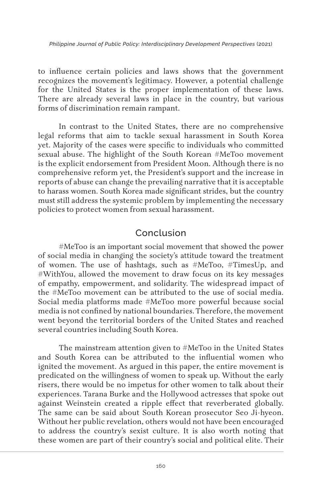to influence certain policies and laws shows that the government recognizes the movement's legitimacy. However, a potential challenge for the United States is the proper implementation of these laws. There are already several laws in place in the country, but various forms of discrimination remain rampant.

In contrast to the United States, there are no comprehensive legal reforms that aim to tackle sexual harassment in South Korea yet. Majority of the cases were specific to individuals who committed sexual abuse. The highlight of the South Korean #MeToo movement is the explicit endorsement from President Moon. Although there is no comprehensive reform yet, the President's support and the increase in reports of abuse can change the prevailing narrative that it is acceptable to harass women. South Korea made significant strides, but the country must still address the systemic problem by implementing the necessary policies to protect women from sexual harassment.

# Conclusion

#MeToo is an important social movement that showed the power of social media in changing the society's attitude toward the treatment of women. The use of hashtags, such as #MeToo, #TimesUp, and #WithYou, allowed the movement to draw focus on its key messages of empathy, empowerment, and solidarity. The widespread impact of the #MeToo movement can be attributed to the use of social media. Social media platforms made #MeToo more powerful because social media is not confined by national boundaries. Therefore, the movement went beyond the territorial borders of the United States and reached several countries including South Korea.

The mainstream attention given to #MeToo in the United States and South Korea can be attributed to the influential women who ignited the movement. As argued in this paper, the entire movement is predicated on the willingness of women to speak up. Without the early risers, there would be no impetus for other women to talk about their experiences. Tarana Burke and the Hollywood actresses that spoke out against Weinstein created a ripple effect that reverberated globally. The same can be said about South Korean prosecutor Seo Ji-hyeon. Without her public revelation, others would not have been encouraged to address the country's sexist culture. It is also worth noting that these women are part of their country's social and political elite. Their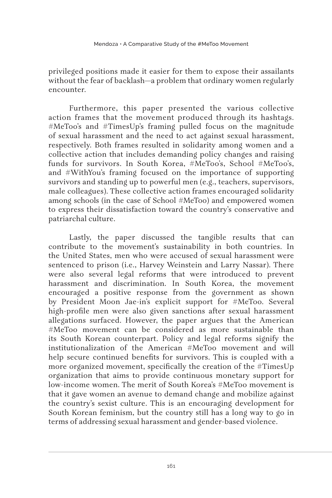privileged positions made it easier for them to expose their assailants without the fear of backlash—a problem that ordinary women regularly encounter.

Furthermore, this paper presented the various collective action frames that the movement produced through its hashtags. #MeToo's and #TimesUp's framing pulled focus on the magnitude of sexual harassment and the need to act against sexual harassment, respectively. Both frames resulted in solidarity among women and a collective action that includes demanding policy changes and raising funds for survivors. In South Korea, #MeToo's, School #MeToo's, and #WithYou's framing focused on the importance of supporting survivors and standing up to powerful men (e.g., teachers, supervisors, male colleagues). These collective action frames encouraged solidarity among schools (in the case of School #MeToo) and empowered women to express their dissatisfaction toward the country's conservative and patriarchal culture.

Lastly, the paper discussed the tangible results that can contribute to the movement's sustainability in both countries. In the United States, men who were accused of sexual harassment were sentenced to prison (i.e., Harvey Weinstein and Larry Nassar). There were also several legal reforms that were introduced to prevent harassment and discrimination. In South Korea, the movement encouraged a positive response from the government as shown by President Moon Jae-in's explicit support for #MeToo. Several high-profile men were also given sanctions after sexual harassment allegations surfaced. However, the paper argues that the American #MeToo movement can be considered as more sustainable than its South Korean counterpart. Policy and legal reforms signify the institutionalization of the American #MeToo movement and will help secure continued benefits for survivors. This is coupled with a more organized movement, specifically the creation of the #TimesUp organization that aims to provide continuous monetary support for low-income women. The merit of South Korea's #MeToo movement is that it gave women an avenue to demand change and mobilize against the country's sexist culture. This is an encouraging development for South Korean feminism, but the country still has a long way to go in terms of addressing sexual harassment and gender-based violence.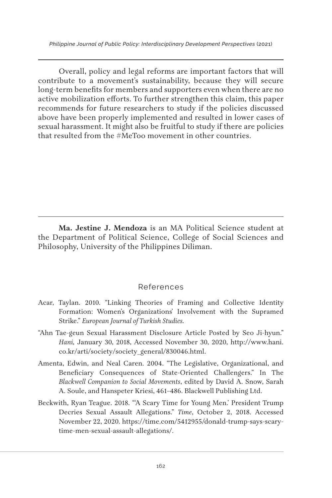Overall, policy and legal reforms are important factors that will contribute to a movement's sustainability, because they will secure long-term benefits for members and supporters even when there are no active mobilization efforts. To further strengthen this claim, this paper recommends for future researchers to study if the policies discussed above have been properly implemented and resulted in lower cases of sexual harassment. It might also be fruitful to study if there are policies that resulted from the #MeToo movement in other countries.

**Ma. Jestine J. Mendoza** is an MA Political Science student at the Department of Political Science, College of Social Sciences and Philosophy, University of the Philippines Diliman.

#### References

- Acar, Taylan. 2010. "Linking Theories of Framing and Collective Identity Formation: Women's Organizations' Involvement with the Supramed Strike." *European Journal of Turkish Studies.*
- "Ahn Tae-geun Sexual Harassment Disclosure Article Posted by Seo Ji-hyun." *Hani,* January 30, 2018, Accessed November 30, 2020, http://www.hani. co.kr/arti/society/society\_general/830046.html.
- Amenta, Edwin, and Neal Caren. 2004. "The Legislative, Organizational, and Beneficiary Consequences of State-Oriented Challengers." In The *Blackwell Companion to Social Movements*, edited by David A. Snow, Sarah A. Soule, and Hanspeter Kriesi, 461–486. Blackwell Publishing Ltd.
- Beckwith, Ryan Teague. 2018. "'A Scary Time for Young Men.' President Trump Decries Sexual Assault Allegations." *Time*, October 2, 2018. Accessed November 22, 2020. https://time.com/5412955/donald-trump-says-scarytime-men-sexual-assault-allegations/.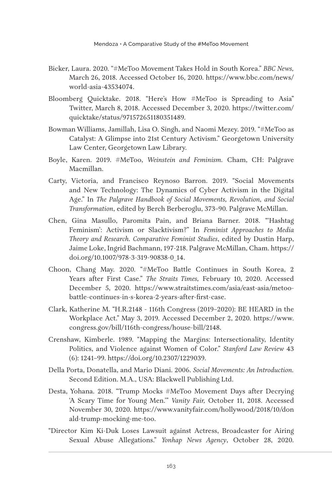- Bicker, Laura. 2020. "#MeToo Movement Takes Hold in South Korea." *BBC News,*  March 26, 2018. Accessed October 16, 2020. https://www.bbc.com/news/ world-asia-43534074.
- Bloomberg Quicktake. 2018. "Here's How #MeToo is Spreading to Asia" Twitter, March 8, 2018. Accessed December 3, 2020. https://twitter.com/ quicktake/status/971572651180351489.
- Bowman Williams, Jamillah, Lisa O. Singh, and Naomi Mezey. 2019. "#MeToo as Catalyst: A Glimpse into 21st Century Activism." Georgetown University Law Center, Georgetown Law Library.
- Boyle, Karen. 2019. #MeToo, *Weinstein and Feminism.* Cham, CH: Palgrave Macmillan.
- Carty, Victoria, and Francisco Reynoso Barron. 2019. "Social Movements and New Technology: The Dynamics of Cyber Activism in the Digital Age." In *The Palgrave Handbook of Social Movements, Revolution, and Social Transformation*, edited by Berch Berberoglu, 373–90. Palgrave McMillan.
- Chen, Gina Masullo, Paromita Pain, and Briana Barner. 2018. "'Hashtag Feminism': Activism or Slacktivism?" In *Feminist Approaches to Media Theory and Research. Comparative Feminist Studies*, edited by Dustin Harp, Jaime Loke, Ingrid Bachmann, 197-218. Palgrave McMillan, Cham. https:// doi.org/10.1007/978-3-319-90838-0\_14.
- Choon, Chang May. 2020. "#MeToo Battle Continues in South Korea, 2 Years after First Case." *The Straits Times,* February 10, 2020. Accessed December 5, 2020. https://www.straitstimes.com/asia/east-asia/metoobattle-continues-in-s-korea-2-years-after-first-case.
- Clark, Katherine M. "H.R.2148 116th Congress (2019–2020): BE HEARD in the Workplace Act." May 3, 2019. Accessed December 2, 2020. https://www. congress.gov/bill/116th-congress/house-bill/2148.
- Crenshaw, Kimberle. 1989. "Mapping the Margins: Intersectionality, Identity Politics, and Violence against Women of Color." *Stanford Law Review* 43 (6): 1241–99. https://doi.org/10.2307/1229039.
- Della Porta, Donatella, and Mario Diani. 2006. *Social Movements: An Introduction.* Second Edition. M.A., USA: Blackwell Publishing Ltd.
- Desta, Yohana. 2018. "Trump Mocks #MeToo Movement Days after Decrying 'A Scary Time for Young Men.'" *Vanity Fair,* October 11, 2018. Accessed November 30, 2020. https://www.vanityfair.com/hollywood/2018/10/don ald-trump-mocking-me-too.
- "Director Kim Ki-Duk Loses Lawsuit against Actress, Broadcaster for Airing Sexual Abuse Allegations." *Yonhap News Agency*, October 28, 2020.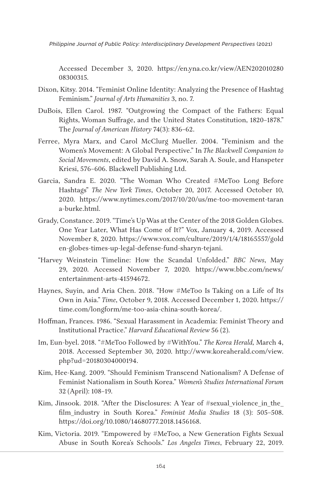Accessed December 3, 2020. https://en.yna.co.kr/view/AEN202010280 08300315.

- Dixon, Kitsy. 2014. "Feminist Online Identity: Analyzing the Presence of Hashtag Feminism." *Journal of Arts Humanities* 3, no. 7.
- DuBois, Ellen Carol. 1987. "Outgrowing the Compact of the Fathers: Equal Rights, Woman Suffrage, and the United States Constitution, 1820–1878." The *Journal of American History* 74(3): 836–62.
- Ferree, Myra Marx, and Carol McClurg Mueller. 2004. "Feminism and the Women's Movement: A Global Perspective." In *The Blackwell Companion to Social Movements*, edited by David A. Snow, Sarah A. Soule, and Hanspeter Kriesi, 576–606. Blackwell Publishing Ltd.
- Garcia, Sandra E. 2020. "The Woman Who Created #MeToo Long Before Hashtags" *The New York Times*, October 20, 2017. Accessed October 10, 2020. https://www.nytimes.com/2017/10/20/us/me-too-movement-taran a-burke.html.
- Grady, Constance. 2019. "Time's Up Was at the Center of the 2018 Golden Globes. One Year Later, What Has Come of It?" Vox, January 4, 2019. Accessed November 8, 2020. https://www.vox.com/culture/2019/1/4/18165557/gold en-globes-times-up-legal-defense-fund-sharyn-tejani.
- "Harvey Weinstein Timeline: How the Scandal Unfolded." *BBC News*, May 29, 2020. Accessed November 7, 2020. https://www.bbc.com/news/ entertainment-arts-41594672.
- Haynes, Suyin, and Aria Chen. 2018. "How #MeToo Is Taking on a Life of Its Own in Asia." *Time*, October 9, 2018. Accessed December 1, 2020. https:// time.com/longform/me-too-asia-china-south-korea/.
- Hoffman, Frances. 1986. "Sexual Harassment in Academia: Feminist Theory and Institutional Practice." *Harvard Educational Review* 56 (2).
- Im, Eun-byel. 2018. "#MeToo Followed by #WithYou." *The Korea Herald,* March 4, 2018. Accessed September 30, 2020. http://www.koreaherald.com/view. php?ud=20180304000194.
- Kim, Hee-Kang. 2009. "Should Feminism Transcend Nationalism? A Defense of Feminist Nationalism in South Korea." *Women's Studies International Forum* 32 (April): 108–19.
- Kim, Jinsook. 2018. "After the Disclosures: A Year of #sexual violence in the film\_industry in South Korea." *Feminist Media Studies* 18 (3): 505–508. https://doi.org/10.1080/14680777.2018.1456168.
- Kim, Victoria. 2019. "Empowered by #MeToo, a New Generation Fights Sexual Abuse in South Korea's Schools." *Los Angeles Times*, February 22, 2019.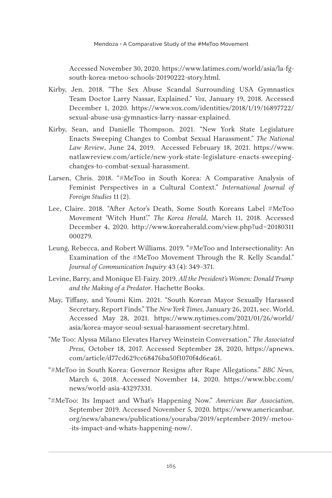Accessed November 30, 2020. https://www.latimes.com/world/asia/la-fgsouth-korea-metoo-schools-20190222-story.html.

- Kirby, Jen. 2018. "The Sex Abuse Scandal Surrounding USA Gymnastics Team Doctor Larry Nassar, Explained." *Vox,* January 19, 2018. Accessed December 1, 2020. https://www.vox.com/identities/2018/1/19/16897722/ sexual-abuse-usa-gymnastics-larry-nassar-explained.
- Kirby, Sean, and Danielle Thompson. 2021. "New York State Legislature Enacts Sweeping Changes to Combat Sexual Harassment." *The National Law Review*, June 24, 2019. Accessed February 18, 2021. https://www. natlawreview.com/article/new-york-state-legislature-enacts-sweepingchanges-to-combat-sexual-harassment.
- Larsen, Chris. 2018. "#MeToo in South Korea: A Comparative Analysis of Feminist Perspectives in a Cultural Context." *International Journal of Foreign Studies* 11 (2).
- Lee, Claire. 2018. "After Actor's Death, Some South Koreans Label #MeToo Movement 'Witch Hunt'." *The Korea Herald*, March 11, 2018. Accessed December 4, 2020. http://www.koreaherald.com/view.php?ud=20180311 000279.
- Leung, Rebecca, and Robert Williams. 2019. "#MeToo and Intersectionality: An Examination of the #MeToo Movement Through the R. Kelly Scandal." *Journal of Communication Inquiry* 43 (4): 349–371.
- Levine, Barry, and Monique El-Faizy. 2019. *All the President's Women: Donald Trump and the Making of a Predator*. Hachette Books.
- May, Tiffany, and Youmi Kim. 2021. "South Korean Mayor Sexually Harassed Secretary, Report Finds." The *New York Times,* January 26, 2021, sec. World, Accessed May 28, 2021. https://www.nytimes.com/2021/01/26/world/ asia/korea-mayor-seoul-sexual-harassment-secretary.html.
- "Me Too: Alyssa Milano Elevates Harvey Weinstein Conversation." *The Associated Press,* October 18, 2017. Accessed September 28, 2020, https://apnews. com/article/d77cd629cc68476ba50f1070f4d6ea61.
- "#MeToo in South Korea: Governor Resigns after Rape Allegations." *BBC News,*  March 6, 2018. Accessed November 14, 2020. https://www.bbc.com/ news/world-asia-43297331.
- "#MeToo: Its Impact and What's Happening Now." *American Bar Association,*  September 2019. Accessed November 5, 2020. https://www.americanbar. org/news/abanews/publications/youraba/2019/september-2019/-metoo- -its-impact-and-whats-happening-now/.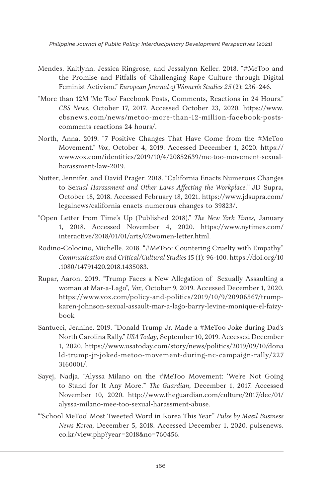- Mendes, Kaitlynn, Jessica Ringrose, and Jessalynn Keller. 2018. "#MeToo and the Promise and Pitfalls of Challenging Rape Culture through Digital Feminist Activism." *European Journal of Women's Studies 25* (2): 236–246.
- "More than 12M 'Me Too' Facebook Posts, Comments, Reactions in 24 Hours." *CBS News*, October 17, 2017. Accessed October 23, 2020. https://www. cbsnews.com/news/metoo-more-than-12-million-facebook-postscomments-reactions-24-hours/.
- North, Anna. 2019. "7 Positive Changes That Have Come from the #MeToo Movement." *Vox*, October 4, 2019. Accessed December 1, 2020. https:// www.vox.com/identities/2019/10/4/20852639/me-too-movement-sexualharassment-law-2019.
- Nutter, Jennifer, and David Prager. 2018. "California Enacts Numerous Changes to Se*xual Harassment and Other Laws Affecting the Workplace."* JD Supra, October 18, 2018. Accessed February 18, 2021. https://www.jdsupra.com/ legalnews/california-enacts-numerous-changes-to-39823/.
- "Open Letter from Time's Up (Published 2018)." *The New York Times,* January 1, 2018. Accessed November 4, 2020. https://www.nytimes.com/ interactive/2018/01/01/arts/02women-letter.html.
- Rodino-Colocino, Michelle. 2018. "#MeToo: Countering Cruelty with Empathy." *Communication and Critical/Cultural Studies* 15 (1): 96-100. https://doi.org/10 .1080/14791420.2018.1435083.
- Rupar, Aaron, 2019. "Trump Faces a New Allegation of Sexually Assaulting a woman at Mar-a-Lago", *Vox,* October 9, 2019. Accessed December 1, 2020. https://www.vox.com/policy-and-politics/2019/10/9/20906567/trumpkaren-johnson-sexual-assault-mar-a-lago-barry-levine-monique-el-faizybook
- Santucci, Jeanine. 2019. "Donald Trump Jr. Made a #MeToo Joke during Dad's North Carolina Rally." *USA Today,* September 10, 2019. Accessed December 1, 2020. https://www.usatoday.com/story/news/politics/2019/09/10/dona ld-trump-jr-joked-metoo-movement-during-nc-campaign-rally/227 3160001/.
- Sayej, Nadja. "Alyssa Milano on the #MeToo Movement: 'We're Not Going to Stand for It Any More.'" *The Guardian,* December 1, 2017. Accessed November 10, 2020. http://www.theguardian.com/culture/2017/dec/01/ alyssa-milano-mee-too-sexual-harassment-abuse.
- "'School MeToo' Most Tweeted Word in Korea This Year." *Pulse by Maeil Business News Korea,* December 5, 2018. Accessed December 1, 2020. pulsenews. co.kr/view.php?year=2018&no=760456.